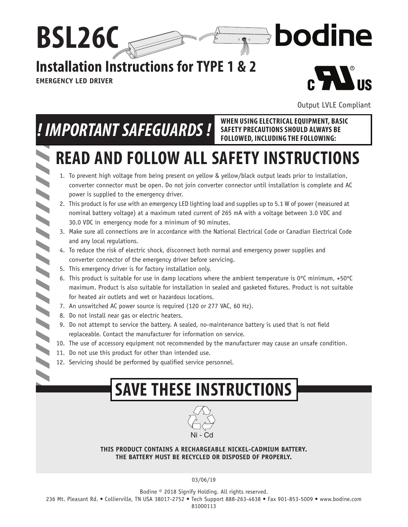## **Installation Instructions for TYPE 1 & 2**

**EMERGENCY LED DRIVER**

7777

77777

 $\blacktriangle$ 

**BSL26C**



bodine

Output LVLE Compliant

**SAFETY PRECAUTIONS SHOULD ALWAYS BE FOLLOWED, INCLUDING THE FOLLOWING:**

# *! IMPORTANT SAFEGUARDS !* WHEN USING ELECTRICAL EQUIPMENT, BASIC

### **READ AND FOLLOW ALL SAFETY INSTRUCTIONS**  $\blacktriangleright$

paaam<sub>aa s</sub>s

 $\mathbb{R}^{\frac{1}{2}}$ 

- 1. To prevent high voltage from being present on yellow & yellow/black output leads prior to installation, converter connector must be open. Do not join converter connector until installation is complete and AC power is supplied to the emergency driver.
- 2. This product is for use with an emergency LED lighting load and supplies up to 5.1 W of power (measured at nominal battery voltage) at a maximum rated current of 265 mA with a voltage between 3.0 VDC and 30.0 VDC in emergency mode for a minimum of 90 minutes.
- 3. Make sure all connections are in accordance with the National Electrical Code or Canadian Electrical Code and any local regulations.
- 4. To reduce the risk of electric shock, disconnect both normal and emergency power supplies and converter connector of the emergency driver before servicing.
- 5. This emergency driver is for factory installation only.
- 6. This product is suitable for use in damp locations where the ambient temperature is  $0^{\circ}$ C minimum, +50 $^{\circ}$ C maximum. Product is also suitable for installation in sealed and qasketed fixtures. Product is not suitable for heated air outlets and wet or hazardous locations.
- 7. An unswitched AC power source is required (120 or 277 VAC, 60 Hz).
- 8. Do not install near gas or electric heaters.
- 9. Do not attempt to service the battery. A sealed, no-maintenance battery is used that is not field replaceable. Contact the manufacturer for information on service.
- 10. The use of accessory equipment not recommended by the manufacturer may cause an unsafe condition.
- 11. Do not use this product for other than intended use.
- 12. Servicing should be performed by qualified service personnel.

## **SAVE THESE INSTRUCTIONS**



**THIS PRODUCT CONTAINS A RECHARGEABLE NICKEL-CADMIUM BATTERY. THE BATTERY MUST BE RECYCLED OR DISPOSED OF PROPERLY.**

03/06/19